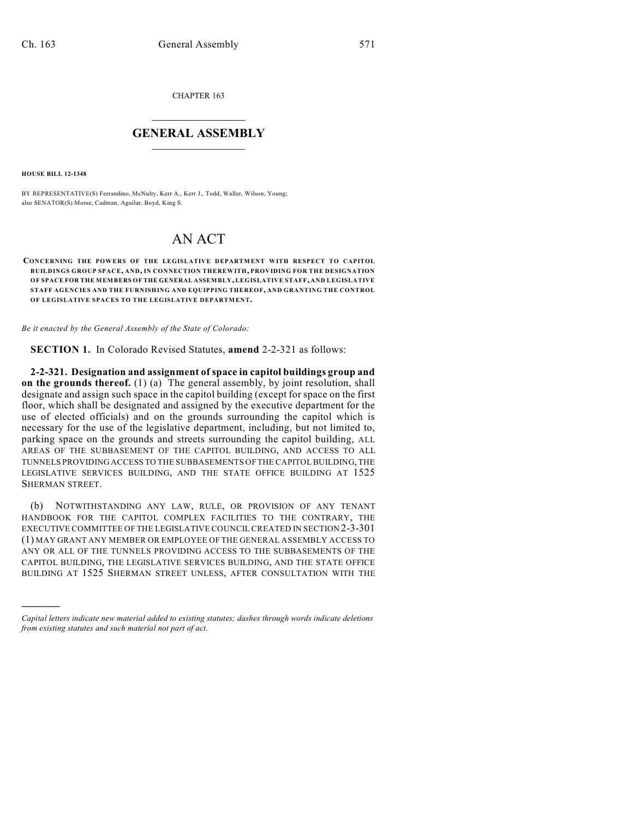CHAPTER 163

## $\overline{\phantom{a}}$  . The set of the set of the set of the set of the set of the set of the set of the set of the set of the set of the set of the set of the set of the set of the set of the set of the set of the set of the set o **GENERAL ASSEMBLY**  $\frac{1}{\sqrt{2}}$  . The set of  $\frac{1}{\sqrt{2}}$

**HOUSE BILL 12-1348**

)))))

BY REPRESENTATIVE(S) Ferrandino, McNulty, Kerr A., Kerr J., Todd, Waller, Wilson, Young; also SENATOR(S) Morse, Cadman, Aguilar, Boyd, King S.

## AN ACT

## **CONCERNING THE POWERS OF THE LEGISLATIVE DEPARTMENT WITH RESPECT TO CAPITOL BUILDINGS GROUP SPACE, AND, IN CONNECTION THEREWITH, PROVIDING FOR THE DESIGNATION OF SPACE FOR THE MEMBERS OF THE GENERAL ASSEMBLY, LEGISLATIVE STAFF, AND LEGISLATIVE STAFF AGENCIES AND THE FURNISHING AND EQUIPPING THEREOF, AND GRANTING THE CONTROL OF LEGISLATIVE SPACES TO THE LEGISLATIVE DEPARTMENT.**

*Be it enacted by the General Assembly of the State of Colorado:*

**SECTION 1.** In Colorado Revised Statutes, **amend** 2-2-321 as follows:

**2-2-321. Designation and assignment of space in capitol buildings group and on the grounds thereof.** (1) (a) The general assembly, by joint resolution, shall designate and assign such space in the capitol building (except for space on the first floor, which shall be designated and assigned by the executive department for the use of elected officials) and on the grounds surrounding the capitol which is necessary for the use of the legislative department, including, but not limited to, parking space on the grounds and streets surrounding the capitol building, ALL AREAS OF THE SUBBASEMENT OF THE CAPITOL BUILDING, AND ACCESS TO ALL TUNNELS PROVIDING ACCESS TO THE SUBBASEMENTS OF THE CAPITOLBUILDING, THE LEGISLATIVE SERVICES BUILDING, AND THE STATE OFFICE BUILDING AT 1525 SHERMAN STREET.

(b) NOTWITHSTANDING ANY LAW, RULE, OR PROVISION OF ANY TENANT HANDBOOK FOR THE CAPITOL COMPLEX FACILITIES TO THE CONTRARY, THE EXECUTIVE COMMITTEE OF THE LEGISLATIVE COUNCIL CREATED IN SECTION 2-3-301 (1) MAY GRANT ANY MEMBER OR EMPLOYEE OF THE GENERAL ASSEMBLY ACCESS TO ANY OR ALL OF THE TUNNELS PROVIDING ACCESS TO THE SUBBASEMENTS OF THE CAPITOL BUILDING, THE LEGISLATIVE SERVICES BUILDING, AND THE STATE OFFICE BUILDING AT 1525 SHERMAN STREET UNLESS, AFTER CONSULTATION WITH THE

*Capital letters indicate new material added to existing statutes; dashes through words indicate deletions from existing statutes and such material not part of act.*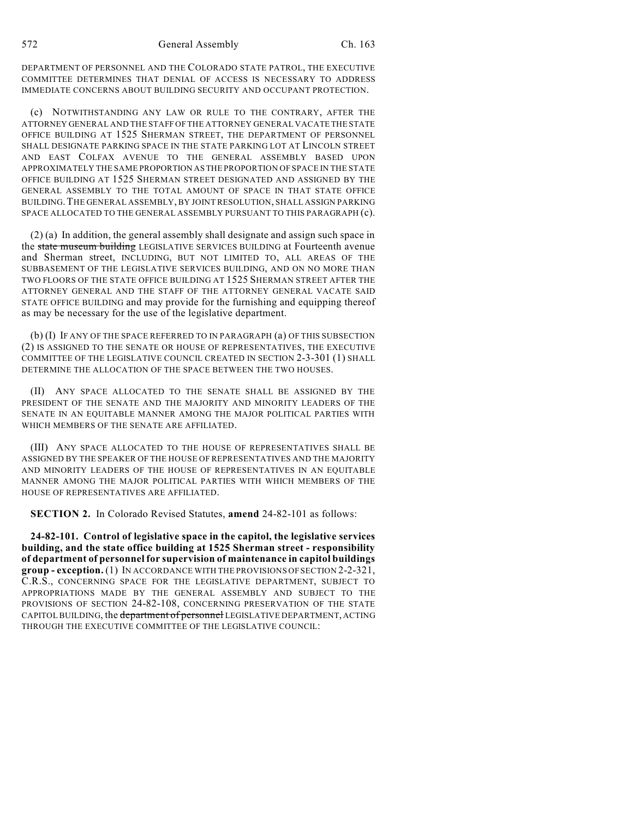DEPARTMENT OF PERSONNEL AND THE COLORADO STATE PATROL, THE EXECUTIVE COMMITTEE DETERMINES THAT DENIAL OF ACCESS IS NECESSARY TO ADDRESS IMMEDIATE CONCERNS ABOUT BUILDING SECURITY AND OCCUPANT PROTECTION.

(c) NOTWITHSTANDING ANY LAW OR RULE TO THE CONTRARY, AFTER THE ATTORNEY GENERAL AND THE STAFF OF THE ATTORNEY GENERAL VACATE THE STATE OFFICE BUILDING AT 1525 SHERMAN STREET, THE DEPARTMENT OF PERSONNEL SHALL DESIGNATE PARKING SPACE IN THE STATE PARKING LOT AT LINCOLN STREET AND EAST COLFAX AVENUE TO THE GENERAL ASSEMBLY BASED UPON APPROXIMATELY THE SAME PROPORTION AS THE PROPORTION OF SPACE IN THE STATE OFFICE BUILDING AT 1525 SHERMAN STREET DESIGNATED AND ASSIGNED BY THE GENERAL ASSEMBLY TO THE TOTAL AMOUNT OF SPACE IN THAT STATE OFFICE BUILDING.THE GENERAL ASSEMBLY, BY JOINT RESOLUTION, SHALL ASSIGN PARKING SPACE ALLOCATED TO THE GENERAL ASSEMBLY PURSUANT TO THIS PARAGRAPH (c).

(2) (a) In addition, the general assembly shall designate and assign such space in the state museum building LEGISLATIVE SERVICES BUILDING at Fourteenth avenue and Sherman street, INCLUDING, BUT NOT LIMITED TO, ALL AREAS OF THE SUBBASEMENT OF THE LEGISLATIVE SERVICES BUILDING, AND ON NO MORE THAN TWO FLOORS OF THE STATE OFFICE BUILDING AT 1525 SHERMAN STREET AFTER THE ATTORNEY GENERAL AND THE STAFF OF THE ATTORNEY GENERAL VACATE SAID STATE OFFICE BUILDING and may provide for the furnishing and equipping thereof as may be necessary for the use of the legislative department.

(b) (I) IF ANY OF THE SPACE REFERRED TO IN PARAGRAPH (a) OF THIS SUBSECTION (2) IS ASSIGNED TO THE SENATE OR HOUSE OF REPRESENTATIVES, THE EXECUTIVE COMMITTEE OF THE LEGISLATIVE COUNCIL CREATED IN SECTION 2-3-301 (1) SHALL DETERMINE THE ALLOCATION OF THE SPACE BETWEEN THE TWO HOUSES.

(II) ANY SPACE ALLOCATED TO THE SENATE SHALL BE ASSIGNED BY THE PRESIDENT OF THE SENATE AND THE MAJORITY AND MINORITY LEADERS OF THE SENATE IN AN EQUITABLE MANNER AMONG THE MAJOR POLITICAL PARTIES WITH WHICH MEMBERS OF THE SENATE ARE AFFILIATED.

(III) ANY SPACE ALLOCATED TO THE HOUSE OF REPRESENTATIVES SHALL BE ASSIGNED BY THE SPEAKER OF THE HOUSE OF REPRESENTATIVES AND THE MAJORITY AND MINORITY LEADERS OF THE HOUSE OF REPRESENTATIVES IN AN EQUITABLE MANNER AMONG THE MAJOR POLITICAL PARTIES WITH WHICH MEMBERS OF THE HOUSE OF REPRESENTATIVES ARE AFFILIATED.

**SECTION 2.** In Colorado Revised Statutes, **amend** 24-82-101 as follows:

**24-82-101. Control of legislative space in the capitol, the legislative services building, and the state office building at 1525 Sherman street - responsibility of department of personnel for supervision of maintenance in capitol buildings group - exception.** (1) IN ACCORDANCE WITH THE PROVISIONS OF SECTION 2-2-321, C.R.S., CONCERNING SPACE FOR THE LEGISLATIVE DEPARTMENT, SUBJECT TO APPROPRIATIONS MADE BY THE GENERAL ASSEMBLY AND SUBJECT TO THE PROVISIONS OF SECTION 24-82-108, CONCERNING PRESERVATION OF THE STATE CAPITOL BUILDING, the department of personnel LEGISLATIVE DEPARTMENT, ACTING THROUGH THE EXECUTIVE COMMITTEE OF THE LEGISLATIVE COUNCIL: